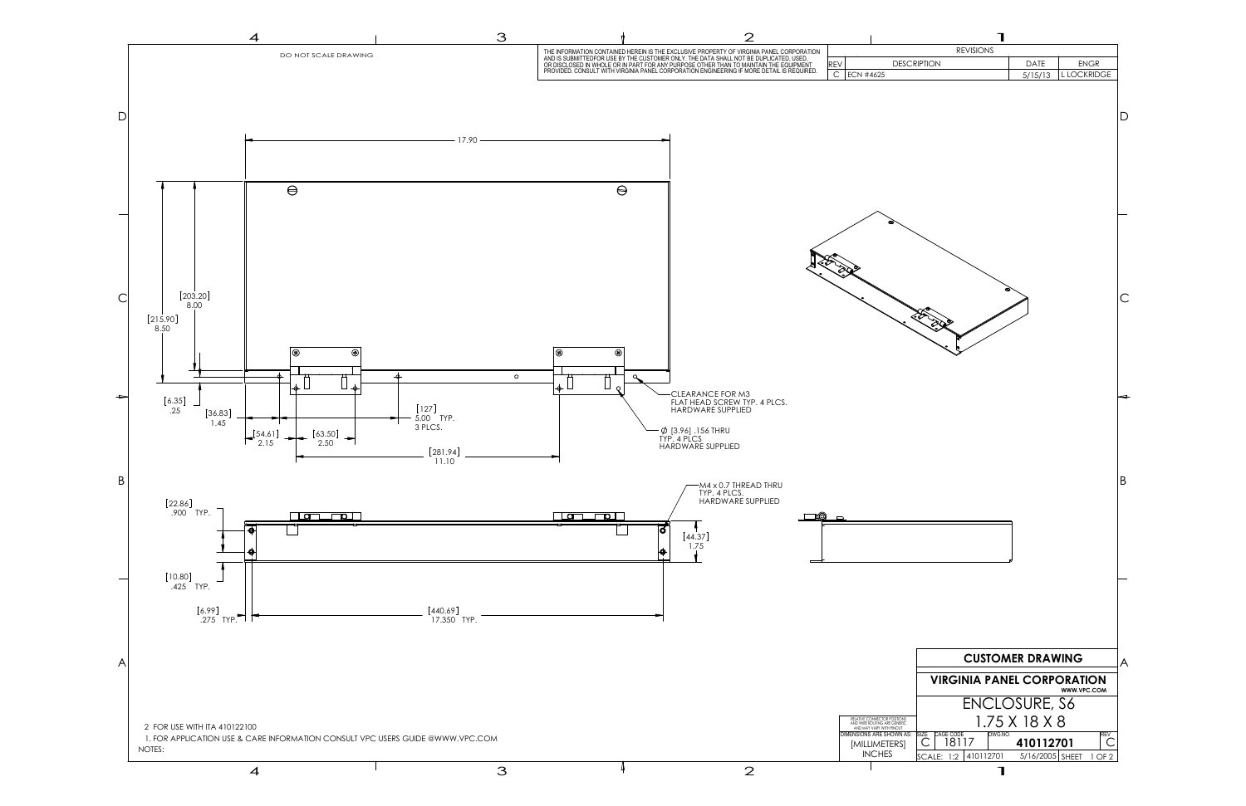